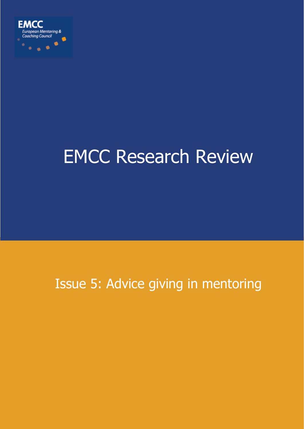

# EMCC Research Review

# Issue 5: Advice giving in mentoring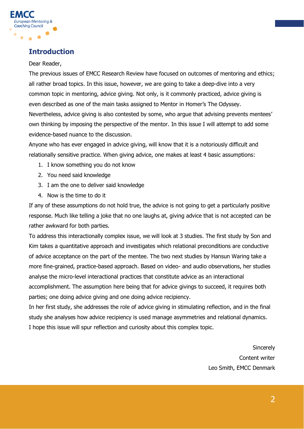

### **Introduction**

#### Dear Reader,

The previous issues of EMCC Research Review have focused on outcomes of mentoring and ethics; all rather broad topics. In this issue, however, we are going to take a deep-dive into a very common topic in mentoring, advice giving. Not only, is it commonly practiced, advice giving is even described as one of the main tasks assigned to Mentor in Homer's The Odyssey. Nevertheless, advice giving is also contested by some, who argue that advising prevents mentees' own thinking by imposing the perspective of the mentor. In this issue I will attempt to add some evidence-based nuance to the discussion.

Anyone who has ever engaged in advice giving, will know that it is a notoriously difficult and relationally sensitive practice. When giving advice, one makes at least 4 basic assumptions:

- 1. I know something you do not know
- 2. You need said knowledge
- 3. I am the one to deliver said knowledge
- 4. Now is the time to do it

If any of these assumptions do not hold true, the advice is not going to get a particularly positive response. Much like telling a joke that no one laughs at, giving advice that is not accepted can be rather awkward for both parties.

To address this interactionally complex issue, we will look at 3 studies. The first study by Son and Kim takes a quantitative approach and investigates which relational preconditions are conductive of advice acceptance on the part of the mentee. The two next studies by Hansun Waring take a more fine-grained, practice-based approach. Based on video- and audio observations, her studies analyse the micro-level interactional practices that constitute advice as an interactional accomplishment. The assumption here being that for advice givings to succeed, it requires both parties; one doing advice giving and one doing advice recipiency.

In her first study, she addresses the role of advice giving in stimulating reflection, and in the final study she analyses how advice recipiency is used manage asymmetries and relational dynamics. I hope this issue will spur reflection and curiosity about this complex topic.

> **Sincerely** Content writer Leo Smith, EMCC Denmark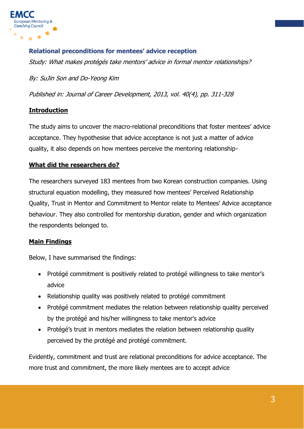

#### **Relational preconditions for mentees' advice reception**

Study: What makes protégés take mentors' advice in formal mentor relationships?

By: SuJin Son and Do-Yeong Kim

Published in: Journal of Career Development, 2013, vol. 40(4), pp. 311-328

#### **Introduction**

The study aims to uncover the macro-relational preconditions that foster mentees' advice acceptance. They hypothesise that advice acceptance is not just a matter of advice quality, it also depends on how mentees perceive the mentoring relationship-

#### **What did the researchers do?**

The researchers surveyed 183 mentees from two Korean construction companies. Using structural equation modelling, they measured how mentees' Perceived Relationship Quality, Trust in Mentor and Commitment to Mentor relate to Mentees' Advice acceptance behaviour. They also controlled for mentorship duration, gender and which organization the respondents belonged to.

#### **Main Findings**

Below, I have summarised the findings:

- Protégé commitment is positively related to protégé willingness to take mentor's advice
- Relationship quality was positively related to protégé commitment
- Protégé commitment mediates the relation between relationship quality perceived by the protégé and his/her willingness to take mentor's advice
- Protégé's trust in mentors mediates the relation between relationship quality perceived by the protégé and protégé commitment.

Evidently, commitment and trust are relational preconditions for advice acceptance. The more trust and commitment, the more likely mentees are to accept advice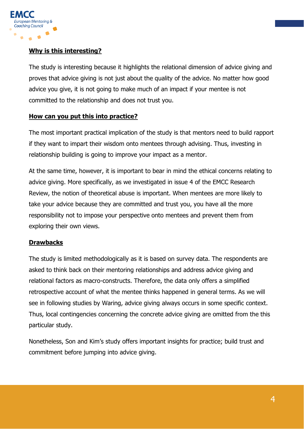

#### **Why is this interesting?**

The study is interesting because it highlights the relational dimension of advice giving and proves that advice giving is not just about the quality of the advice. No matter how good advice you give, it is not going to make much of an impact if your mentee is not committed to the relationship and does not trust you.

#### **How can you put this into practice?**

The most important practical implication of the study is that mentors need to build rapport if they want to impart their wisdom onto mentees through advising. Thus, investing in relationship building is going to improve your impact as a mentor.

At the same time, however, it is important to bear in mind the ethical concerns relating to advice giving. More specifically, as we investigated in issue 4 of the EMCC Research Review, the notion of theoretical abuse is important. When mentees are more likely to take your advice because they are committed and trust you, you have all the more responsibility not to impose your perspective onto mentees and prevent them from exploring their own views.

#### **Drawbacks**

The study is limited methodologically as it is based on survey data. The respondents are asked to think back on their mentoring relationships and address advice giving and relational factors as macro-constructs. Therefore, the data only offers a simplified retrospective account of what the mentee thinks happened in general terms. As we will see in following studies by Waring, advice giving always occurs in some specific context. Thus, local contingencies concerning the concrete advice giving are omitted from the this particular study.

Nonetheless, Son and Kim's study offers important insights for practice; build trust and commitment before jumping into advice giving.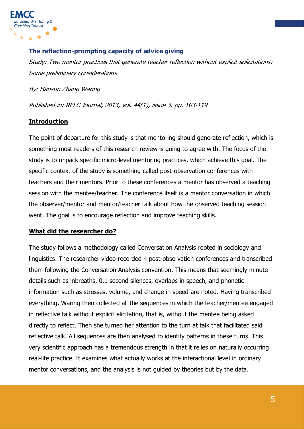

#### **The reflection-prompting capacity of advice giving**

Study: Two mentor practices that generate teacher reflection without explicit solicitations: Some preliminary considerations

By: Hansun Zhang Waring

Published in: RELC Journal, 2013, vol. 44(1), issue 3, pp. 103-119

#### **Introduction**

The point of departure for this study is that mentoring should generate reflection, which is something most readers of this research review is going to agree with. The focus of the study is to unpack specific micro-level mentoring practices, which achieve this goal. The specific context of the study is something called post-observation conferences with teachers and their mentors. Prior to these conferences a mentor has observed a teaching session with the mentee/teacher. The conference itself is a mentor conversation in which the observer/mentor and mentor/teacher talk about how the observed teaching session went. The goal is to encourage reflection and improve teaching skills.

#### **What did the researcher do?**

The study follows a methodology called Conversation Analysis rooted in sociology and linguistics. The researcher video-recorded 4 post-observation conferences and transcribed them following the Conversation Analysis convention. This means that seemingly minute details such as inbreaths, 0.1 second silences, overlaps in speech, and phonetic information such as stresses, volume, and change in speed are noted. Having transcribed everything, Waring then collected all the sequences in which the teacher/mentee engaged in reflective talk without explicit elicitation, that is, without the mentee being asked directly to reflect. Then she turned her attention to the turn at talk that facilitated said reflective talk. All sequences are then analysed to identify patterns in these turns. This very scientific approach has a tremendous strength in that it relies on naturally occurring real-life practice. It examines what actually works at the interactional level in ordinary mentor conversations, and the analysis is not guided by theories but by the data.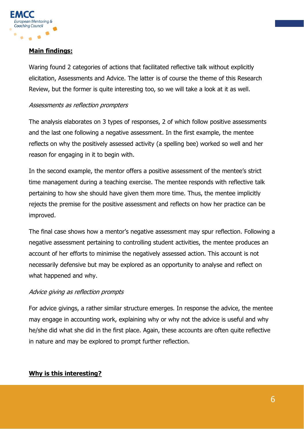

#### **Main findings:**

Waring found 2 categories of actions that facilitated reflective talk without explicitly elicitation, Assessments and Advice. The latter is of course the theme of this Research Review, but the former is quite interesting too, so we will take a look at it as well.

#### Assessments as reflection prompters

The analysis elaborates on 3 types of responses, 2 of which follow positive assessments and the last one following a negative assessment. In the first example, the mentee reflects on why the positively assessed activity (a spelling bee) worked so well and her reason for engaging in it to begin with.

In the second example, the mentor offers a positive assessment of the mentee's strict time management during a teaching exercise. The mentee responds with reflective talk pertaining to how she should have given them more time. Thus, the mentee implicitly rejects the premise for the positive assessment and reflects on how her practice can be improved.

The final case shows how a mentor's negative assessment may spur reflection. Following a negative assessment pertaining to controlling student activities, the mentee produces an account of her efforts to minimise the negatively assessed action. This account is not necessarily defensive but may be explored as an opportunity to analyse and reflect on what happened and why.

#### Advice giving as reflection prompts

For advice givings, a rather similar structure emerges. In response the advice, the mentee may engage in accounting work, explaining why or why not the advice is useful and why he/she did what she did in the first place. Again, these accounts are often quite reflective in nature and may be explored to prompt further reflection.

#### **Why is this interesting?**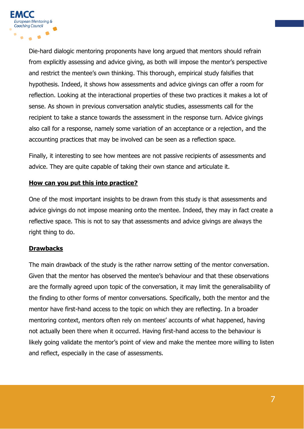

Die-hard dialogic mentoring proponents have long argued that mentors should refrain from explicitly assessing and advice giving, as both will impose the mentor's perspective and restrict the mentee's own thinking. This thorough, empirical study falsifies that hypothesis. Indeed, it shows how assessments and advice givings can offer a room for reflection. Looking at the interactional properties of these two practices it makes a lot of sense. As shown in previous conversation analytic studies, assessments call for the recipient to take a stance towards the assessment in the response turn. Advice givings also call for a response, namely some variation of an acceptance or a rejection, and the accounting practices that may be involved can be seen as a reflection space.

Finally, it interesting to see how mentees are not passive recipients of assessments and advice. They are quite capable of taking their own stance and articulate it.

#### **How can you put this into practice?**

One of the most important insights to be drawn from this study is that assessments and advice givings do not impose meaning onto the mentee. Indeed, they may in fact create a reflective space. This is not to say that assessments and advice givings are always the right thing to do.

#### **Drawbacks**

The main drawback of the study is the rather narrow setting of the mentor conversation. Given that the mentor has observed the mentee's behaviour and that these observations are the formally agreed upon topic of the conversation, it may limit the generalisability of the finding to other forms of mentor conversations. Specifically, both the mentor and the mentor have first-hand access to the topic on which they are reflecting. In a broader mentoring context, mentors often rely on mentees' accounts of what happened, having not actually been there when it occurred. Having first-hand access to the behaviour is likely going validate the mentor's point of view and make the mentee more willing to listen and reflect, especially in the case of assessments.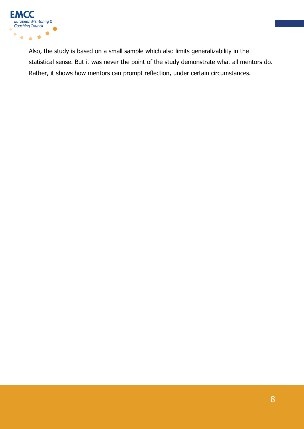

Also, the study is based on a small sample which also limits generalizability in the statistical sense. But it was never the point of the study demonstrate what all mentors do. Rather, it shows how mentors can prompt reflection, under certain circumstances.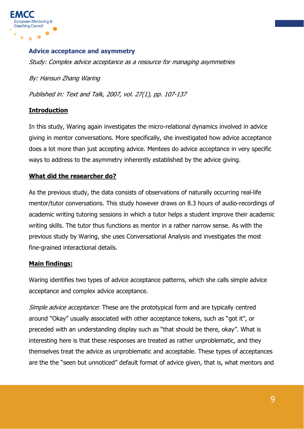

#### **Advice acceptance and asymmetry**

Study: Complex advice acceptance as a resource for managing asymmetries

By: Hansun Zhang Waring

Published in: Text and Talk, 2007, vol. 27(1), pp. 107-137

#### **Introduction**

In this study, Waring again investigates the micro-relational dynamics involved in advice giving in mentor conversations. More specifically, she investigated how advice acceptance does a lot more than just accepting advice. Mentees do advice acceptance in very specific ways to address to the asymmetry inherently established by the advice giving.

#### **What did the researcher do?**

As the previous study, the data consists of observations of naturally occurring real-life mentor/tutor conversations. This study however draws on 8.3 hours of audio-recordings of academic writing tutoring sessions in which a tutor helps a student improve their academic writing skills. The tutor thus functions as mentor in a rather narrow sense. As with the previous study by Waring, she uses Conversational Analysis and investigates the most fine-grained interactional details.

#### **Main findings:**

Waring identifies two types of advice acceptance patterns, which she calls simple advice acceptance and complex advice acceptance.

Simple advice acceptance: These are the prototypical form and are typically centred around "Okay" usually associated with other acceptance tokens, such as "got it", or preceded with an understanding display such as "that should be there, okay". What is interesting here is that these responses are treated as rather unproblematic, and they themselves treat the advice as unproblematic and acceptable. These types of acceptances are the the "seen but unnoticed" default format of advice given, that is, what mentors and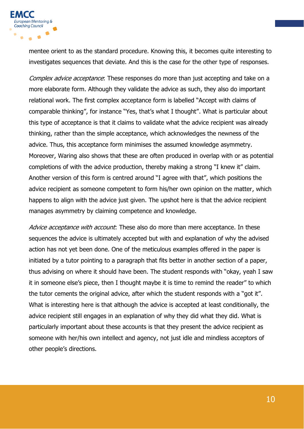

mentee orient to as the standard procedure. Knowing this, it becomes quite interesting to investigates sequences that deviate. And this is the case for the other type of responses.

Complex advice acceptance: These responses do more than just accepting and take on a more elaborate form. Although they validate the advice as such, they also do important relational work. The first complex acceptance form is labelled "Accept with claims of comparable thinking", for instance "Yes, that's what I thought". What is particular about this type of acceptance is that it claims to validate what the advice recipient was already thinking, rather than the simple acceptance, which acknowledges the newness of the advice. Thus, this acceptance form minimises the assumed knowledge asymmetry. Moreover, Waring also shows that these are often produced in overlap with or as potential completions of with the advice production, thereby making a strong "I knew it" claim. Another version of this form is centred around "I agree with that", which positions the advice recipient as someone competent to form his/her own opinion on the matter, which happens to align with the advice just given. The upshot here is that the advice recipient manages asymmetry by claiming competence and knowledge.

Advice acceptance with account: These also do more than mere acceptance. In these sequences the advice is ultimately accepted but with and explanation of why the advised action has not yet been done. One of the meticulous examples offered in the paper is initiated by a tutor pointing to a paragraph that fits better in another section of a paper, thus advising on where it should have been. The student responds with "okay, yeah I saw it in someone else's piece, then I thought maybe it is time to remind the reader" to which the tutor cements the original advice, after which the student responds with a "got it". What is interesting here is that although the advice is accepted at least conditionally, the advice recipient still engages in an explanation of why they did what they did. What is particularly important about these accounts is that they present the advice recipient as someone with her/his own intellect and agency, not just idle and mindless acceptors of other people's directions.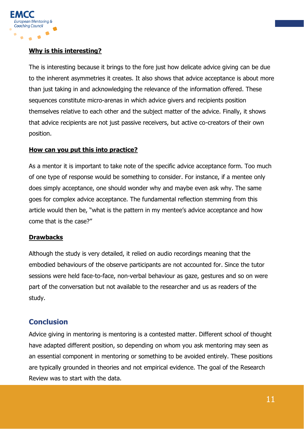

#### **Why is this interesting?**

The is interesting because it brings to the fore just how delicate advice giving can be due to the inherent asymmetries it creates. It also shows that advice acceptance is about more than just taking in and acknowledging the relevance of the information offered. These sequences constitute micro-arenas in which advice givers and recipients position themselves relative to each other and the subject matter of the advice. Finally, it shows that advice recipients are not just passive receivers, but active co-creators of their own position.

#### **How can you put this into practice?**

As a mentor it is important to take note of the specific advice acceptance form. Too much of one type of response would be something to consider. For instance, if a mentee only does simply acceptance, one should wonder why and maybe even ask why. The same goes for complex advice acceptance. The fundamental reflection stemming from this article would then be, "what is the pattern in my mentee's advice acceptance and how come that is the case?"

#### **Drawbacks**

Although the study is very detailed, it relied on audio recordings meaning that the embodied behaviours of the observe participants are not accounted for. Since the tutor sessions were held face-to-face, non-verbal behaviour as gaze, gestures and so on were part of the conversation but not available to the researcher and us as readers of the study.

## **Conclusion**

Advice giving in mentoring is mentoring is a contested matter. Different school of thought have adapted different position, so depending on whom you ask mentoring may seen as an essential component in mentoring or something to be avoided entirely. These positions are typically grounded in theories and not empirical evidence. The goal of the Research Review was to start with the data.